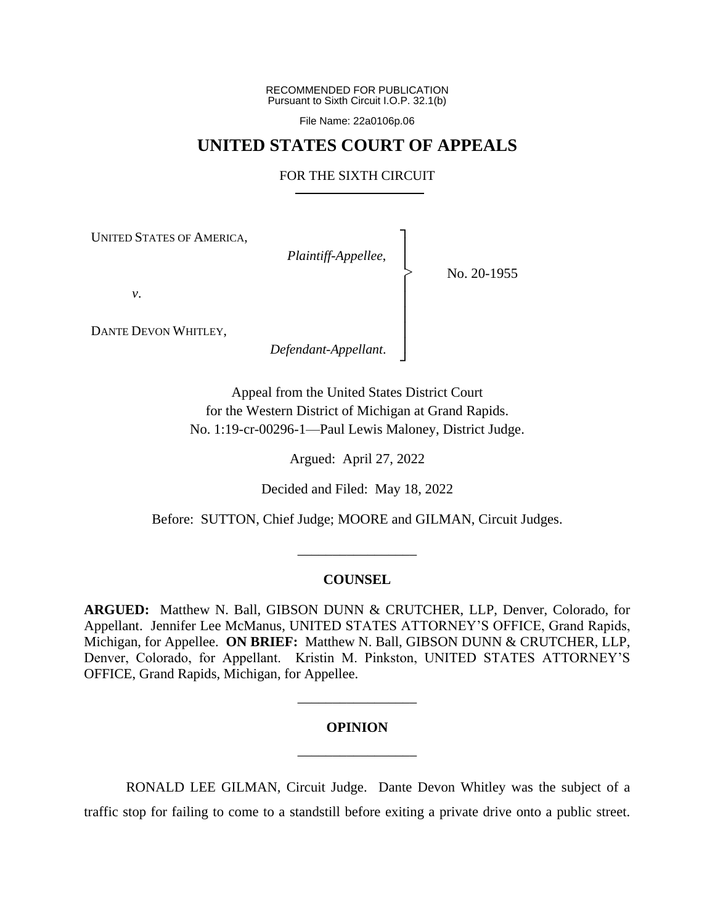RECOMMENDED FOR PUBLICATION Pursuant to Sixth Circuit I.O.P. 32.1(b)

File Name: 22a0106p.06

# **UNITED STATES COURT OF APPEALS**

## FOR THE SIXTH CIRCUIT

┐ │ │ │ │ │ │ │ ┘

|<br>|<br>|

UNITED STATES OF AMERICA,

*Plaintiff-Appellee*,

No. 20-1955

*v*.

DANTE DEVON WHITLEY,

*Defendant-Appellant*.

Appeal from the United States District Court for the Western District of Michigan at Grand Rapids. No. 1:19-cr-00296-1—Paul Lewis Maloney, District Judge.

Argued: April 27, 2022

Decided and Filed: May 18, 2022

Before: SUTTON, Chief Judge; MOORE and GILMAN, Circuit Judges.

\_\_\_\_\_\_\_\_\_\_\_\_\_\_\_\_\_

## **COUNSEL**

**ARGUED:** Matthew N. Ball, GIBSON DUNN & CRUTCHER, LLP, Denver, Colorado, for Appellant. Jennifer Lee McManus, UNITED STATES ATTORNEY'S OFFICE, Grand Rapids, Michigan, for Appellee. **ON BRIEF:** Matthew N. Ball, GIBSON DUNN & CRUTCHER, LLP, Denver, Colorado, for Appellant. Kristin M. Pinkston, UNITED STATES ATTORNEY'S OFFICE, Grand Rapids, Michigan, for Appellee.

#### **OPINION**

\_\_\_\_\_\_\_\_\_\_\_\_\_\_\_\_\_

\_\_\_\_\_\_\_\_\_\_\_\_\_\_\_\_\_

RONALD LEE GILMAN, Circuit Judge.Dante Devon Whitley was the subject of a traffic stop for failing to come to a standstill before exiting a private drive onto a public street.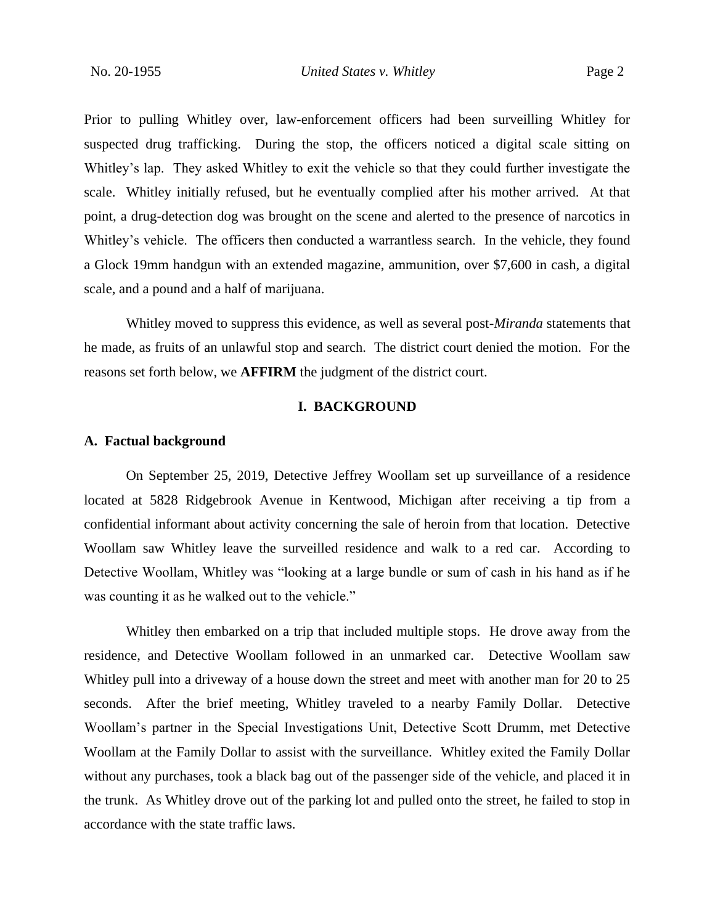Prior to pulling Whitley over, law-enforcement officers had been surveilling Whitley for suspected drug trafficking. During the stop, the officers noticed a digital scale sitting on Whitley's lap. They asked Whitley to exit the vehicle so that they could further investigate the scale. Whitley initially refused, but he eventually complied after his mother arrived. At that point, a drug-detection dog was brought on the scene and alerted to the presence of narcotics in Whitley's vehicle. The officers then conducted a warrantless search. In the vehicle, they found a Glock 19mm handgun with an extended magazine, ammunition, over \$7,600 in cash, a digital scale, and a pound and a half of marijuana.

Whitley moved to suppress this evidence, as well as several post-*Miranda* statements that he made, as fruits of an unlawful stop and search. The district court denied the motion. For the reasons set forth below, we **AFFIRM** the judgment of the district court.

# **I. BACKGROUND**

#### **A. Factual background**

On September 25, 2019, Detective Jeffrey Woollam set up surveillance of a residence located at 5828 Ridgebrook Avenue in Kentwood, Michigan after receiving a tip from a confidential informant about activity concerning the sale of heroin from that location. Detective Woollam saw Whitley leave the surveilled residence and walk to a red car. According to Detective Woollam, Whitley was "looking at a large bundle or sum of cash in his hand as if he was counting it as he walked out to the vehicle."

Whitley then embarked on a trip that included multiple stops. He drove away from the residence, and Detective Woollam followed in an unmarked car.Detective Woollam saw Whitley pull into a driveway of a house down the street and meet with another man for 20 to 25 seconds. After the brief meeting, Whitley traveled to a nearby Family Dollar. Detective Woollam's partner in the Special Investigations Unit, Detective Scott Drumm, met Detective Woollam at the Family Dollar to assist with the surveillance. Whitley exited the Family Dollar without any purchases, took a black bag out of the passenger side of the vehicle, and placed it in the trunk. As Whitley drove out of the parking lot and pulled onto the street, he failed to stop in accordance with the state traffic laws.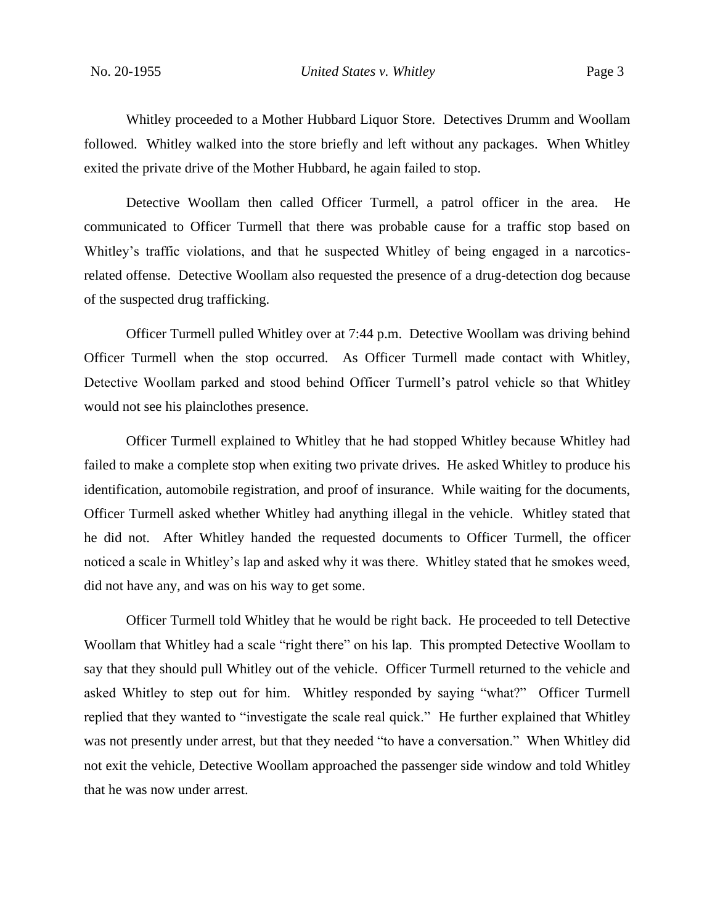Whitley proceeded to a Mother Hubbard Liquor Store. Detectives Drumm and Woollam followed. Whitley walked into the store briefly and left without any packages. When Whitley exited the private drive of the Mother Hubbard, he again failed to stop.

Detective Woollam then called Officer Turmell, a patrol officer in the area. He communicated to Officer Turmell that there was probable cause for a traffic stop based on Whitley's traffic violations, and that he suspected Whitley of being engaged in a narcoticsrelated offense. Detective Woollam also requested the presence of a drug-detection dog because of the suspected drug trafficking.

Officer Turmell pulled Whitley over at 7:44 p.m. Detective Woollam was driving behind Officer Turmell when the stop occurred. As Officer Turmell made contact with Whitley, Detective Woollam parked and stood behind Officer Turmell's patrol vehicle so that Whitley would not see his plainclothes presence.

Officer Turmell explained to Whitley that he had stopped Whitley because Whitley had failed to make a complete stop when exiting two private drives. He asked Whitley to produce his identification, automobile registration, and proof of insurance. While waiting for the documents, Officer Turmell asked whether Whitley had anything illegal in the vehicle. Whitley stated that he did not. After Whitley handed the requested documents to Officer Turmell, the officer noticed a scale in Whitley's lap and asked why it was there. Whitley stated that he smokes weed, did not have any, and was on his way to get some.

Officer Turmell told Whitley that he would be right back. He proceeded to tell Detective Woollam that Whitley had a scale "right there" on his lap. This prompted Detective Woollam to say that they should pull Whitley out of the vehicle. Officer Turmell returned to the vehicle and asked Whitley to step out for him. Whitley responded by saying "what?" Officer Turmell replied that they wanted to "investigate the scale real quick." He further explained that Whitley was not presently under arrest, but that they needed "to have a conversation." When Whitley did not exit the vehicle, Detective Woollam approached the passenger side window and told Whitley that he was now under arrest.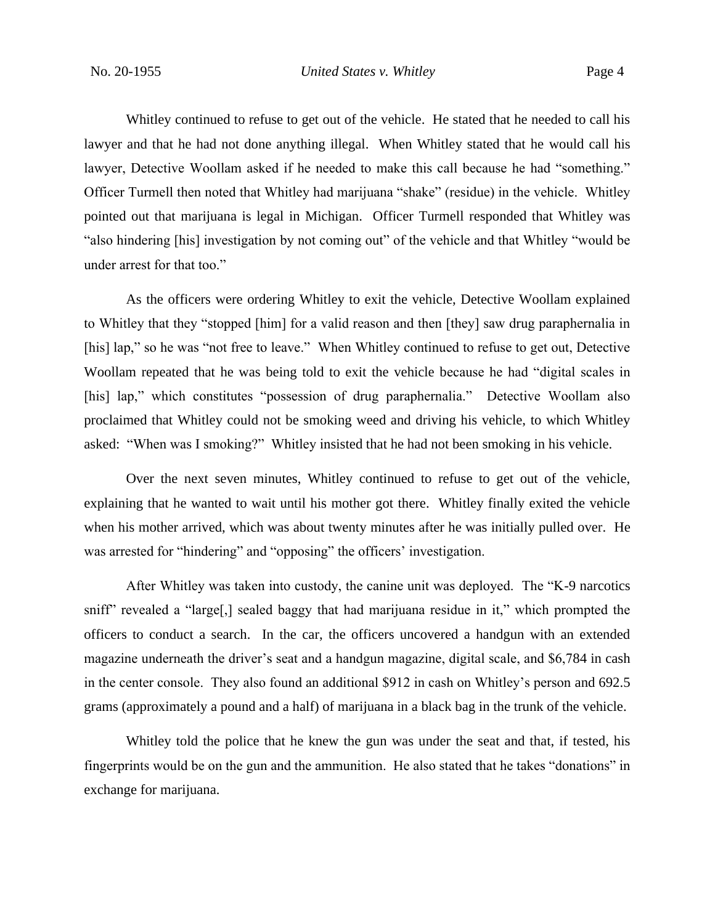Whitley continued to refuse to get out of the vehicle. He stated that he needed to call his lawyer and that he had not done anything illegal. When Whitley stated that he would call his lawyer, Detective Woollam asked if he needed to make this call because he had "something." Officer Turmell then noted that Whitley had marijuana "shake" (residue) in the vehicle. Whitley pointed out that marijuana is legal in Michigan. Officer Turmell responded that Whitley was "also hindering [his] investigation by not coming out" of the vehicle and that Whitley "would be under arrest for that too."

As the officers were ordering Whitley to exit the vehicle, Detective Woollam explained to Whitley that they "stopped [him] for a valid reason and then [they] saw drug paraphernalia in [his] lap," so he was "not free to leave." When Whitley continued to refuse to get out, Detective Woollam repeated that he was being told to exit the vehicle because he had "digital scales in [his] lap," which constitutes "possession of drug paraphernalia." Detective Woollam also proclaimed that Whitley could not be smoking weed and driving his vehicle, to which Whitley asked: "When was I smoking?" Whitley insisted that he had not been smoking in his vehicle.

Over the next seven minutes, Whitley continued to refuse to get out of the vehicle, explaining that he wanted to wait until his mother got there. Whitley finally exited the vehicle when his mother arrived, which was about twenty minutes after he was initially pulled over. He was arrested for "hindering" and "opposing" the officers' investigation.

After Whitley was taken into custody, the canine unit was deployed. The "K-9 narcotics sniff" revealed a "large[,] sealed baggy that had marijuana residue in it," which prompted the officers to conduct a search. In the car, the officers uncovered a handgun with an extended magazine underneath the driver's seat and a handgun magazine, digital scale, and \$6,784 in cash in the center console. They also found an additional \$912 in cash on Whitley's person and 692.5 grams (approximately a pound and a half) of marijuana in a black bag in the trunk of the vehicle.

Whitley told the police that he knew the gun was under the seat and that, if tested, his fingerprints would be on the gun and the ammunition. He also stated that he takes "donations" in exchange for marijuana.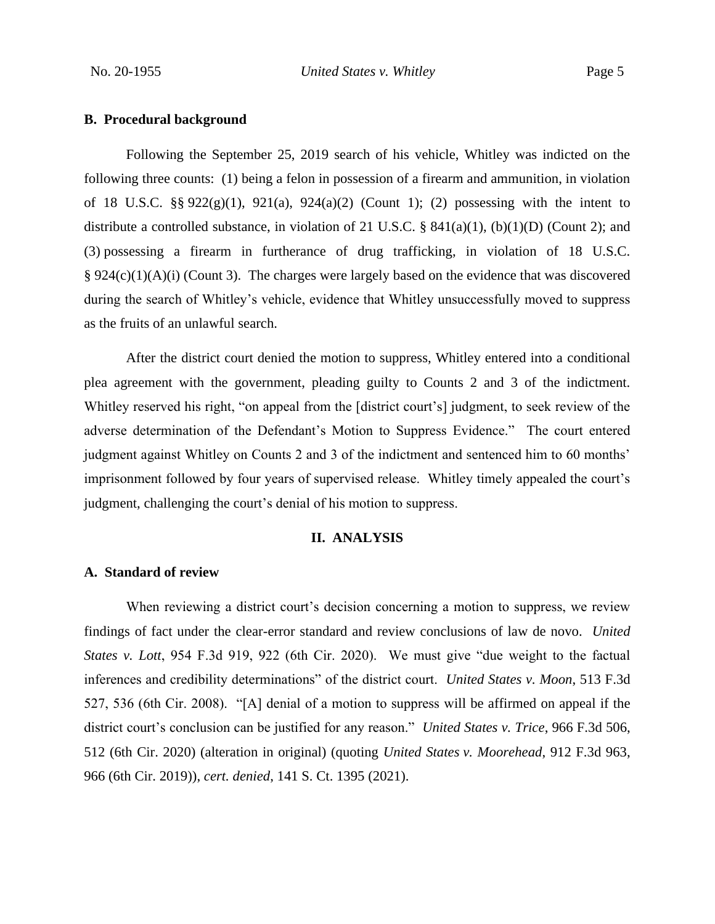## **B. Procedural background**

Following the September 25, 2019 search of his vehicle, Whitley was indicted on the following three counts: (1) being a felon in possession of a firearm and ammunition, in violation of 18 U.S.C. §§  $922(g)(1)$ ,  $921(a)$ ,  $924(a)(2)$  (Count 1); (2) possessing with the intent to distribute a controlled substance, in violation of 21 U.S.C.  $\S$  841(a)(1), (b)(1)(D) (Count 2); and (3) possessing a firearm in furtherance of drug trafficking, in violation of 18 U.S.C.  $§ 924(c)(1)(A)(i)$  (Count 3). The charges were largely based on the evidence that was discovered during the search of Whitley's vehicle, evidence that Whitley unsuccessfully moved to suppress as the fruits of an unlawful search.

After the district court denied the motion to suppress, Whitley entered into a conditional plea agreement with the government, pleading guilty to Counts 2 and 3 of the indictment. Whitley reserved his right, "on appeal from the [district court's] judgment, to seek review of the adverse determination of the Defendant's Motion to Suppress Evidence." The court entered judgment against Whitley on Counts 2 and 3 of the indictment and sentenced him to 60 months' imprisonment followed by four years of supervised release. Whitley timely appealed the court's judgment, challenging the court's denial of his motion to suppress.

## **II. ANALYSIS**

# **A. Standard of review**

When reviewing a district court's decision concerning a motion to suppress, we review findings of fact under the clear-error standard and review conclusions of law de novo. *United States v. Lott*, 954 F.3d 919, 922 (6th Cir. 2020). We must give "due weight to the factual inferences and credibility determinations" of the district court. *United States v. Moon*, 513 F.3d 527, 536 (6th Cir. 2008). "[A] denial of a motion to suppress will be affirmed on appeal if the district court's conclusion can be justified for any reason." *United States v. Trice*, 966 F.3d 506, 512 (6th Cir. 2020) (alteration in original) (quoting *United States v. Moorehead*, 912 F.3d 963, 966 (6th Cir. 2019)), *cert. denied*, 141 S. Ct. 1395 (2021).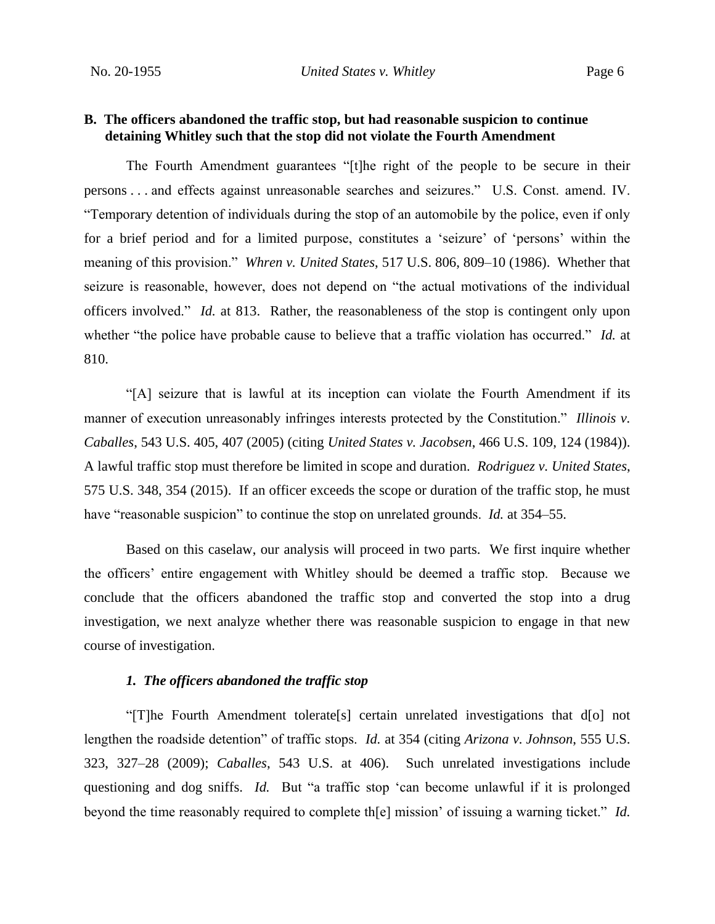# **B. The officers abandoned the traffic stop, but had reasonable suspicion to continue detaining Whitley such that the stop did not violate the Fourth Amendment**

The Fourth Amendment guarantees "[t]he right of the people to be secure in their persons . . . and effects against unreasonable searches and seizures." U.S. Const. amend. IV. "Temporary detention of individuals during the stop of an automobile by the police, even if only for a brief period and for a limited purpose, constitutes a 'seizure' of 'persons' within the meaning of this provision." *Whren v. United States*, 517 U.S. 806, 809–10 (1986). Whether that seizure is reasonable, however, does not depend on "the actual motivations of the individual officers involved." *Id.* at 813. Rather, the reasonableness of the stop is contingent only upon whether "the police have probable cause to believe that a traffic violation has occurred." *Id.* at 810.

"[A] seizure that is lawful at its inception can violate the Fourth Amendment if its manner of execution unreasonably infringes interests protected by the Constitution." *Illinois v. Caballes*, 543 U.S. 405, 407 (2005) (citing *United States v. Jacobsen*, 466 U.S. 109, 124 (1984)). A lawful traffic stop must therefore be limited in scope and duration. *Rodriguez v. United States*, 575 U.S. 348, 354 (2015). If an officer exceeds the scope or duration of the traffic stop, he must have "reasonable suspicion" to continue the stop on unrelated grounds. *Id.* at 354–55.

Based on this caselaw, our analysis will proceed in two parts. We first inquire whether the officers' entire engagement with Whitley should be deemed a traffic stop. Because we conclude that the officers abandoned the traffic stop and converted the stop into a drug investigation, we next analyze whether there was reasonable suspicion to engage in that new course of investigation.

### *1. The officers abandoned the traffic stop*

"[T]he Fourth Amendment tolerate[s] certain unrelated investigations that d[o] not lengthen the roadside detention" of traffic stops. *Id.* at 354 (citing *Arizona v. Johnson*, 555 U.S. 323, 327–28 (2009); *Caballes*, 543 U.S. at 406). Such unrelated investigations include questioning and dog sniffs. *Id.* But "a traffic stop 'can become unlawful if it is prolonged beyond the time reasonably required to complete th[e] mission' of issuing a warning ticket." *Id.*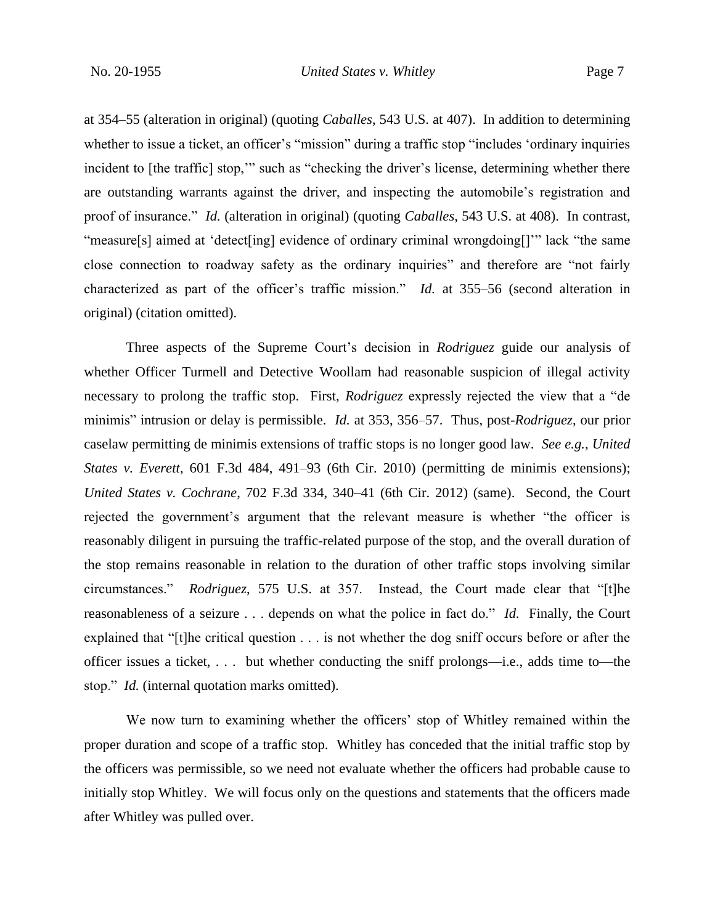at 354–55 (alteration in original) (quoting *Caballes*, 543 U.S. at 407). In addition to determining whether to issue a ticket, an officer's "mission" during a traffic stop "includes 'ordinary inquiries incident to [the traffic] stop," such as "checking the driver's license, determining whether there are outstanding warrants against the driver, and inspecting the automobile's registration and proof of insurance." *Id.* (alteration in original) (quoting *Caballes*, 543 U.S. at 408). In contrast, "measure[s] aimed at 'detect[ing] evidence of ordinary criminal wrongdoing[]'" lack "the same close connection to roadway safety as the ordinary inquiries" and therefore are "not fairly characterized as part of the officer's traffic mission." *Id.* at 355–56 (second alteration in original) (citation omitted).

Three aspects of the Supreme Court's decision in *Rodriguez* guide our analysis of whether Officer Turmell and Detective Woollam had reasonable suspicion of illegal activity necessary to prolong the traffic stop. First, *Rodriguez* expressly rejected the view that a "de minimis" intrusion or delay is permissible. *Id.* at 353, 356–57. Thus, post-*Rodriguez*, our prior caselaw permitting de minimis extensions of traffic stops is no longer good law. *See e.g.*, *United States v. Everett*, 601 F.3d 484, 491–93 (6th Cir. 2010) (permitting de minimis extensions); *United States v. Cochrane*, 702 F.3d 334, 340–41 (6th Cir. 2012) (same). Second, the Court rejected the government's argument that the relevant measure is whether "the officer is reasonably diligent in pursuing the traffic-related purpose of the stop, and the overall duration of the stop remains reasonable in relation to the duration of other traffic stops involving similar circumstances." *Rodriguez*, 575 U.S. at 357. Instead, the Court made clear that "[t]he reasonableness of a seizure . . . depends on what the police in fact do." *Id.* Finally, the Court explained that "[t]he critical question . . . is not whether the dog sniff occurs before or after the officer issues a ticket, . . . but whether conducting the sniff prolongs—i.e., adds time to—the stop." *Id.* (internal quotation marks omitted).

We now turn to examining whether the officers' stop of Whitley remained within the proper duration and scope of a traffic stop. Whitley has conceded that the initial traffic stop by the officers was permissible, so we need not evaluate whether the officers had probable cause to initially stop Whitley. We will focus only on the questions and statements that the officers made after Whitley was pulled over.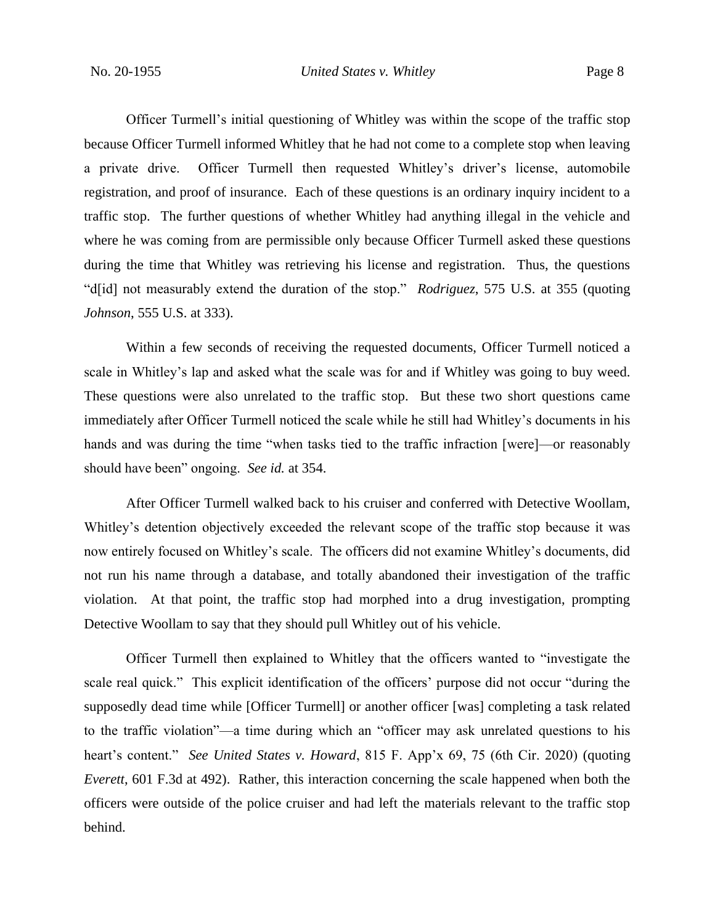Officer Turmell's initial questioning of Whitley was within the scope of the traffic stop because Officer Turmell informed Whitley that he had not come to a complete stop when leaving a private drive. Officer Turmell then requested Whitley's driver's license, automobile registration, and proof of insurance. Each of these questions is an ordinary inquiry incident to a traffic stop. The further questions of whether Whitley had anything illegal in the vehicle and where he was coming from are permissible only because Officer Turmell asked these questions during the time that Whitley was retrieving his license and registration. Thus, the questions "d[id] not measurably extend the duration of the stop." *Rodriguez*, 575 U.S. at 355 (quoting *Johnson*, 555 U.S. at 333).

Within a few seconds of receiving the requested documents, Officer Turmell noticed a scale in Whitley's lap and asked what the scale was for and if Whitley was going to buy weed. These questions were also unrelated to the traffic stop. But these two short questions came immediately after Officer Turmell noticed the scale while he still had Whitley's documents in his hands and was during the time "when tasks tied to the traffic infraction [were]—or reasonably should have been" ongoing. *See id.* at 354.

After Officer Turmell walked back to his cruiser and conferred with Detective Woollam, Whitley's detention objectively exceeded the relevant scope of the traffic stop because it was now entirely focused on Whitley's scale. The officers did not examine Whitley's documents, did not run his name through a database, and totally abandoned their investigation of the traffic violation. At that point, the traffic stop had morphed into a drug investigation, prompting Detective Woollam to say that they should pull Whitley out of his vehicle.

Officer Turmell then explained to Whitley that the officers wanted to "investigate the scale real quick." This explicit identification of the officers' purpose did not occur "during the supposedly dead time while [Officer Turmell] or another officer [was] completing a task related to the traffic violation"—a time during which an "officer may ask unrelated questions to his heart's content." *See United States v. Howard*, 815 F. App'x 69, 75 (6th Cir. 2020) (quoting *Everett*, 601 F.3d at 492). Rather, this interaction concerning the scale happened when both the officers were outside of the police cruiser and had left the materials relevant to the traffic stop behind.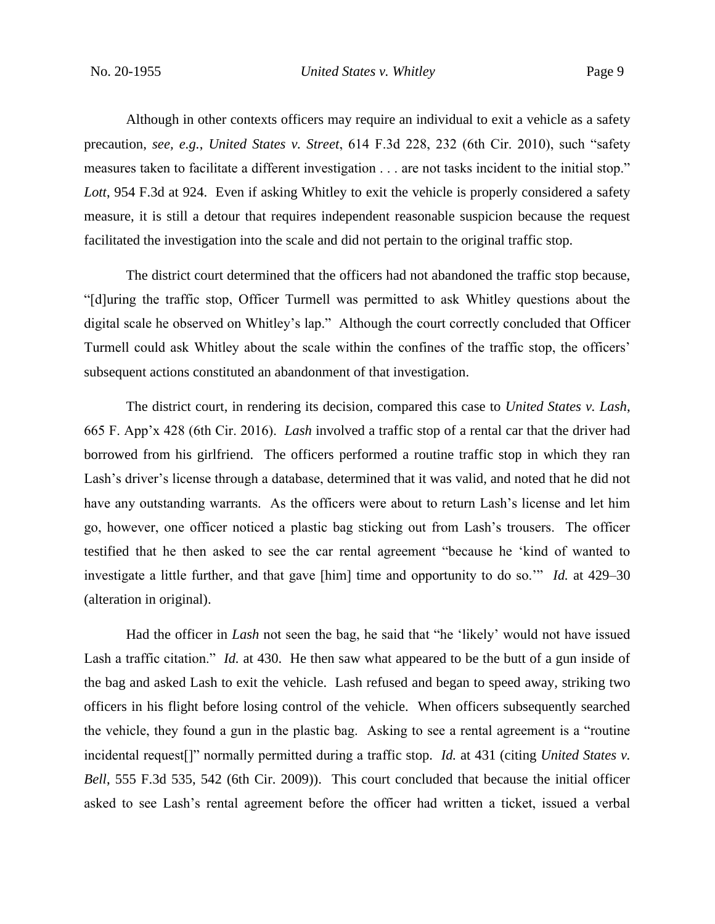Although in other contexts officers may require an individual to exit a vehicle as a safety precaution, *see, e.g.*, *United States v. Street*, 614 F.3d 228, 232 (6th Cir. 2010), such "safety measures taken to facilitate a different investigation . . . are not tasks incident to the initial stop." *Lott*, 954 F.3d at 924. Even if asking Whitley to exit the vehicle is properly considered a safety measure, it is still a detour that requires independent reasonable suspicion because the request facilitated the investigation into the scale and did not pertain to the original traffic stop.

The district court determined that the officers had not abandoned the traffic stop because, "[d]uring the traffic stop, Officer Turmell was permitted to ask Whitley questions about the digital scale he observed on Whitley's lap." Although the court correctly concluded that Officer Turmell could ask Whitley about the scale within the confines of the traffic stop, the officers' subsequent actions constituted an abandonment of that investigation.

The district court, in rendering its decision, compared this case to *United States v. Lash*, 665 F. App'x 428 (6th Cir. 2016). *Lash* involved a traffic stop of a rental car that the driver had borrowed from his girlfriend. The officers performed a routine traffic stop in which they ran Lash's driver's license through a database, determined that it was valid, and noted that he did not have any outstanding warrants. As the officers were about to return Lash's license and let him go, however, one officer noticed a plastic bag sticking out from Lash's trousers. The officer testified that he then asked to see the car rental agreement "because he 'kind of wanted to investigate a little further, and that gave [him] time and opportunity to do so.'" *Id.* at 429–30 (alteration in original).

Had the officer in *Lash* not seen the bag, he said that "he 'likely' would not have issued Lash a traffic citation." *Id.* at 430. He then saw what appeared to be the butt of a gun inside of the bag and asked Lash to exit the vehicle. Lash refused and began to speed away, striking two officers in his flight before losing control of the vehicle. When officers subsequently searched the vehicle, they found a gun in the plastic bag. Asking to see a rental agreement is a "routine incidental request[]" normally permitted during a traffic stop. *Id.* at 431 (citing *United States v. Bell*, 555 F.3d 535, 542 (6th Cir. 2009)). This court concluded that because the initial officer asked to see Lash's rental agreement before the officer had written a ticket, issued a verbal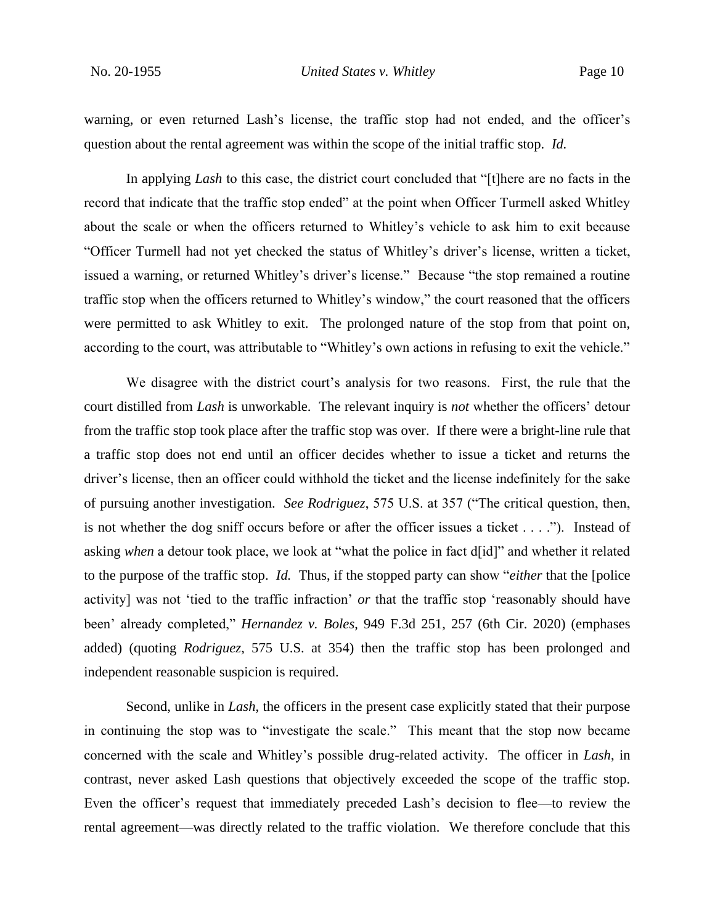warning, or even returned Lash's license, the traffic stop had not ended, and the officer's question about the rental agreement was within the scope of the initial traffic stop. *Id.*

In applying *Lash* to this case, the district court concluded that "[t]here are no facts in the record that indicate that the traffic stop ended" at the point when Officer Turmell asked Whitley about the scale or when the officers returned to Whitley's vehicle to ask him to exit because "Officer Turmell had not yet checked the status of Whitley's driver's license, written a ticket, issued a warning, or returned Whitley's driver's license." Because "the stop remained a routine traffic stop when the officers returned to Whitley's window," the court reasoned that the officers were permitted to ask Whitley to exit. The prolonged nature of the stop from that point on, according to the court, was attributable to "Whitley's own actions in refusing to exit the vehicle."

We disagree with the district court's analysis for two reasons. First, the rule that the court distilled from *Lash* is unworkable. The relevant inquiry is *not* whether the officers' detour from the traffic stop took place after the traffic stop was over. If there were a bright-line rule that a traffic stop does not end until an officer decides whether to issue a ticket and returns the driver's license, then an officer could withhold the ticket and the license indefinitely for the sake of pursuing another investigation. *See Rodriguez*, 575 U.S. at 357 ("The critical question, then, is not whether the dog sniff occurs before or after the officer issues a ticket . . . ."). Instead of asking *when* a detour took place, we look at "what the police in fact d[id]" and whether it related to the purpose of the traffic stop. *Id.* Thus, if the stopped party can show "*either* that the [police activity] was not 'tied to the traffic infraction' *or* that the traffic stop 'reasonably should have been' already completed," *Hernandez v. Boles*, 949 F.3d 251, 257 (6th Cir. 2020) (emphases added) (quoting *Rodriguez*, 575 U.S. at 354) then the traffic stop has been prolonged and independent reasonable suspicion is required.

Second, unlike in *Lash*, the officers in the present case explicitly stated that their purpose in continuing the stop was to "investigate the scale." This meant that the stop now became concerned with the scale and Whitley's possible drug-related activity. The officer in *Lash*, in contrast, never asked Lash questions that objectively exceeded the scope of the traffic stop. Even the officer's request that immediately preceded Lash's decision to flee—to review the rental agreement—was directly related to the traffic violation. We therefore conclude that this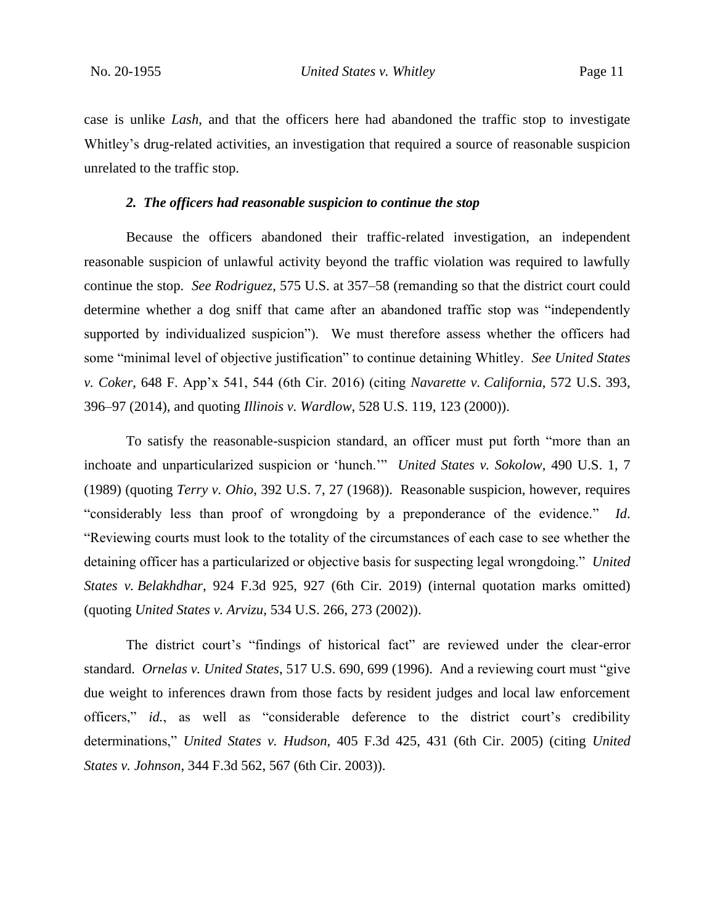case is unlike *Lash*, and that the officers here had abandoned the traffic stop to investigate Whitley's drug-related activities, an investigation that required a source of reasonable suspicion unrelated to the traffic stop.

#### *2. The officers had reasonable suspicion to continue the stop*

Because the officers abandoned their traffic-related investigation, an independent reasonable suspicion of unlawful activity beyond the traffic violation was required to lawfully continue the stop. *See Rodriguez*, 575 U.S. at 357–58 (remanding so that the district court could determine whether a dog sniff that came after an abandoned traffic stop was "independently supported by individualized suspicion"). We must therefore assess whether the officers had some "minimal level of objective justification" to continue detaining Whitley. *See United States v. Coker*, 648 F. App'x 541, 544 (6th Cir. 2016) (citing *Navarette v. California*, 572 U.S. 393, 396–97 (2014), and quoting *Illinois v. Wardlow*, 528 U.S. 119, 123 (2000)).

To satisfy the reasonable-suspicion standard, an officer must put forth "more than an inchoate and unparticularized suspicion or 'hunch.'" *United States v. Sokolow*, 490 U.S. 1, 7 (1989) (quoting *Terry v. Ohio*, 392 U.S. 7, 27 (1968)). Reasonable suspicion, however, requires "considerably less than proof of wrongdoing by a preponderance of the evidence." *Id*. "Reviewing courts must look to the totality of the circumstances of each case to see whether the detaining officer has a particularized or objective basis for suspecting legal wrongdoing." *United States v. Belakhdhar*, 924 F.3d 925, 927 (6th Cir. 2019) (internal quotation marks omitted) (quoting *United States v. Arvizu*, 534 U.S. 266, 273 (2002)).

The district court's "findings of historical fact" are reviewed under the clear-error standard. *Ornelas v. United States*, 517 U.S. 690, 699 (1996). And a reviewing court must "give due weight to inferences drawn from those facts by resident judges and local law enforcement officers," *id.*, as well as "considerable deference to the district court's credibility determinations," *United States v. Hudson*, 405 F.3d 425, 431 (6th Cir. 2005) (citing *United States v. Johnson*, 344 F.3d 562, 567 (6th Cir. 2003)).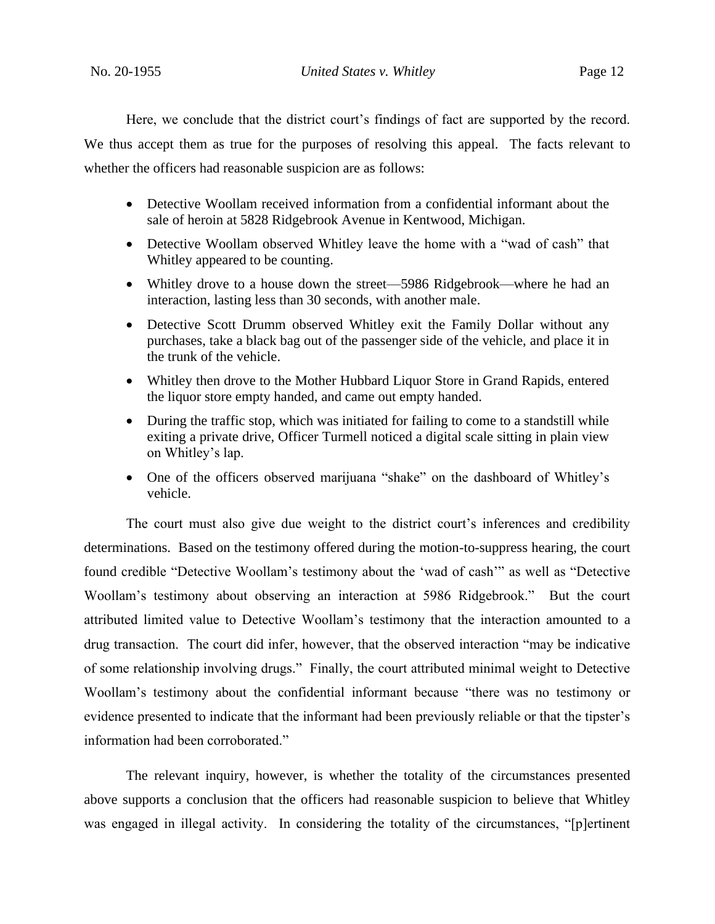Here, we conclude that the district court's findings of fact are supported by the record. We thus accept them as true for the purposes of resolving this appeal. The facts relevant to whether the officers had reasonable suspicion are as follows:

- Detective Woollam received information from a confidential informant about the sale of heroin at 5828 Ridgebrook Avenue in Kentwood, Michigan.
- Detective Woollam observed Whitley leave the home with a "wad of cash" that Whitley appeared to be counting.
- Whitley drove to a house down the street—5986 Ridgebrook—where he had an interaction, lasting less than 30 seconds, with another male.
- Detective Scott Drumm observed Whitley exit the Family Dollar without any purchases, take a black bag out of the passenger side of the vehicle, and place it in the trunk of the vehicle.
- Whitley then drove to the Mother Hubbard Liquor Store in Grand Rapids, entered the liquor store empty handed, and came out empty handed.
- During the traffic stop, which was initiated for failing to come to a standstill while exiting a private drive, Officer Turmell noticed a digital scale sitting in plain view on Whitley's lap.
- One of the officers observed marijuana "shake" on the dashboard of Whitley's vehicle.

The court must also give due weight to the district court's inferences and credibility determinations. Based on the testimony offered during the motion-to-suppress hearing, the court found credible "Detective Woollam's testimony about the 'wad of cash'" as well as "Detective Woollam's testimony about observing an interaction at 5986 Ridgebrook." But the court attributed limited value to Detective Woollam's testimony that the interaction amounted to a drug transaction. The court did infer, however, that the observed interaction "may be indicative of some relationship involving drugs." Finally, the court attributed minimal weight to Detective Woollam's testimony about the confidential informant because "there was no testimony or evidence presented to indicate that the informant had been previously reliable or that the tipster's information had been corroborated."

The relevant inquiry, however, is whether the totality of the circumstances presented above supports a conclusion that the officers had reasonable suspicion to believe that Whitley was engaged in illegal activity. In considering the totality of the circumstances, "[p]ertinent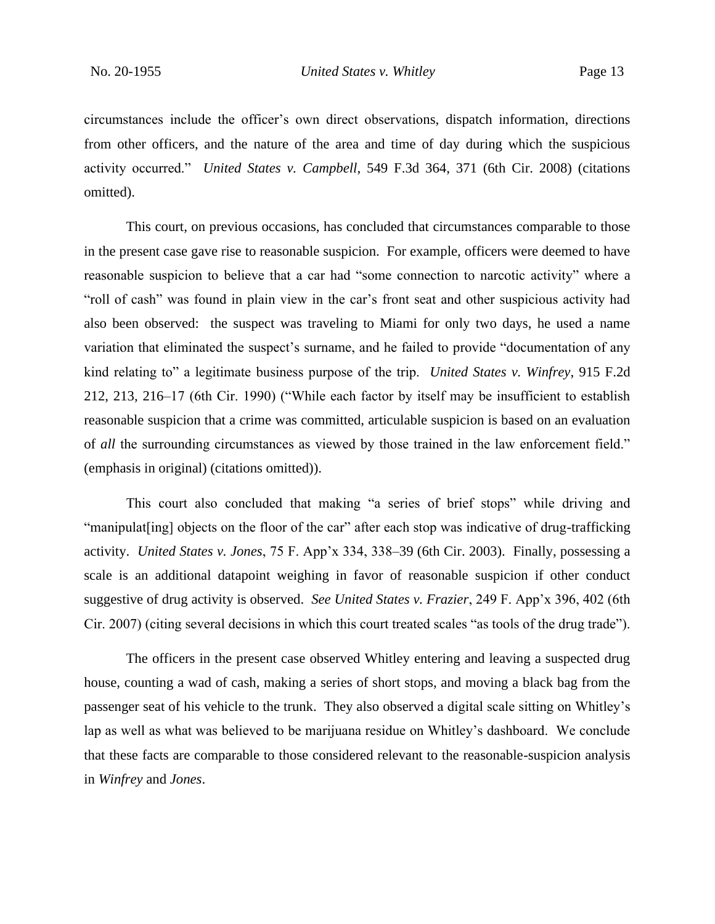circumstances include the officer's own direct observations, dispatch information, directions from other officers, and the nature of the area and time of day during which the suspicious activity occurred." *United States v. Campbell*, 549 F.3d 364, 371 (6th Cir. 2008) (citations omitted).

This court, on previous occasions, has concluded that circumstances comparable to those in the present case gave rise to reasonable suspicion. For example, officers were deemed to have reasonable suspicion to believe that a car had "some connection to narcotic activity" where a "roll of cash" was found in plain view in the car's front seat and other suspicious activity had also been observed: the suspect was traveling to Miami for only two days, he used a name variation that eliminated the suspect's surname, and he failed to provide "documentation of any kind relating to" a legitimate business purpose of the trip. *United States v. Winfrey*, 915 F.2d 212, 213, 216–17 (6th Cir. 1990) ("While each factor by itself may be insufficient to establish reasonable suspicion that a crime was committed, articulable suspicion is based on an evaluation of *all* the surrounding circumstances as viewed by those trained in the law enforcement field." (emphasis in original) (citations omitted)).

This court also concluded that making "a series of brief stops" while driving and "manipulat[ing] objects on the floor of the car" after each stop was indicative of drug-trafficking activity. *United States v. Jones*, 75 F. App'x 334, 338–39 (6th Cir. 2003). Finally, possessing a scale is an additional datapoint weighing in favor of reasonable suspicion if other conduct suggestive of drug activity is observed. *See United States v. Frazier*, 249 F. App'x 396, 402 (6th Cir. 2007) (citing several decisions in which this court treated scales "as tools of the drug trade").

The officers in the present case observed Whitley entering and leaving a suspected drug house, counting a wad of cash, making a series of short stops, and moving a black bag from the passenger seat of his vehicle to the trunk. They also observed a digital scale sitting on Whitley's lap as well as what was believed to be marijuana residue on Whitley's dashboard. We conclude that these facts are comparable to those considered relevant to the reasonable-suspicion analysis in *Winfrey* and *Jones*.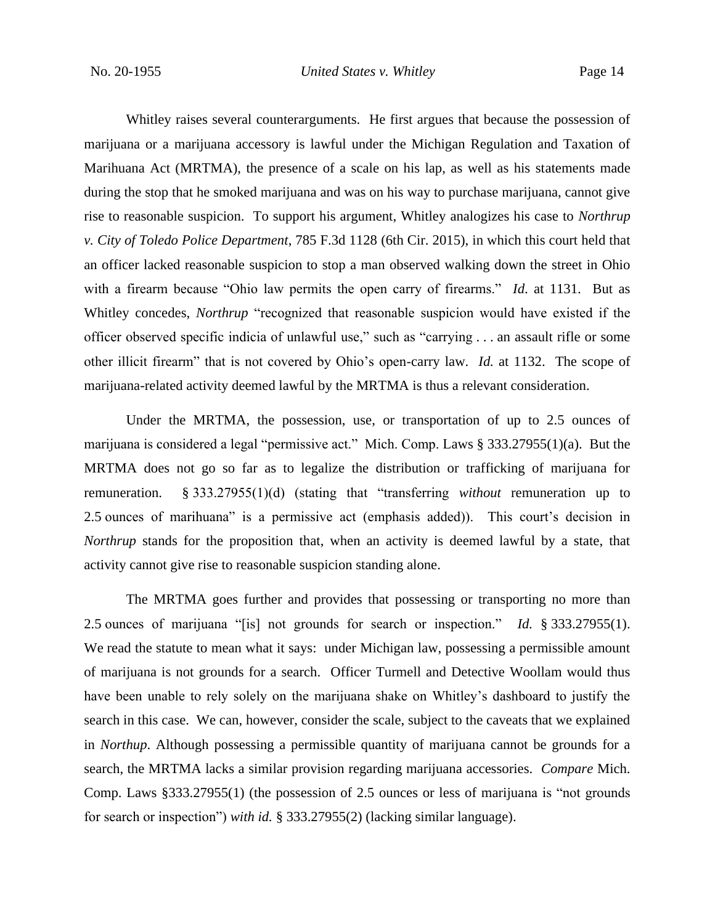Whitley raises several counterarguments. He first argues that because the possession of marijuana or a marijuana accessory is lawful under the Michigan Regulation and Taxation of Marihuana Act (MRTMA), the presence of a scale on his lap, as well as his statements made during the stop that he smoked marijuana and was on his way to purchase marijuana, cannot give rise to reasonable suspicion. To support his argument, Whitley analogizes his case to *Northrup v. City of Toledo Police Department*, 785 F.3d 1128 (6th Cir. 2015), in which this court held that an officer lacked reasonable suspicion to stop a man observed walking down the street in Ohio with a firearm because "Ohio law permits the open carry of firearms." *Id*. at 1131. But as Whitley concedes, *Northrup* "recognized that reasonable suspicion would have existed if the officer observed specific indicia of unlawful use," such as "carrying . . . an assault rifle or some other illicit firearm" that is not covered by Ohio's open-carry law. *Id.* at 1132. The scope of marijuana-related activity deemed lawful by the MRTMA is thus a relevant consideration.

Under the MRTMA, the possession, use, or transportation of up to 2.5 ounces of marijuana is considered a legal "permissive act." Mich. Comp. Laws § 333.27955(1)(a). But the MRTMA does not go so far as to legalize the distribution or trafficking of marijuana for remuneration. § 333.27955(1)(d) (stating that "transferring *without* remuneration up to 2.5 ounces of marihuana" is a permissive act (emphasis added)). This court's decision in *Northrup* stands for the proposition that, when an activity is deemed lawful by a state, that activity cannot give rise to reasonable suspicion standing alone.

The MRTMA goes further and provides that possessing or transporting no more than 2.5 ounces of marijuana "[is] not grounds for search or inspection." *Id.* § 333.27955(1). We read the statute to mean what it says: under Michigan law, possessing a permissible amount of marijuana is not grounds for a search. Officer Turmell and Detective Woollam would thus have been unable to rely solely on the marijuana shake on Whitley's dashboard to justify the search in this case. We can, however, consider the scale, subject to the caveats that we explained in *Northup*. Although possessing a permissible quantity of marijuana cannot be grounds for a search, the MRTMA lacks a similar provision regarding marijuana accessories. *Compare* Mich. Comp. Laws §333.27955(1) (the possession of 2.5 ounces or less of marijuana is "not grounds for search or inspection") *with id.* § 333.27955(2) (lacking similar language).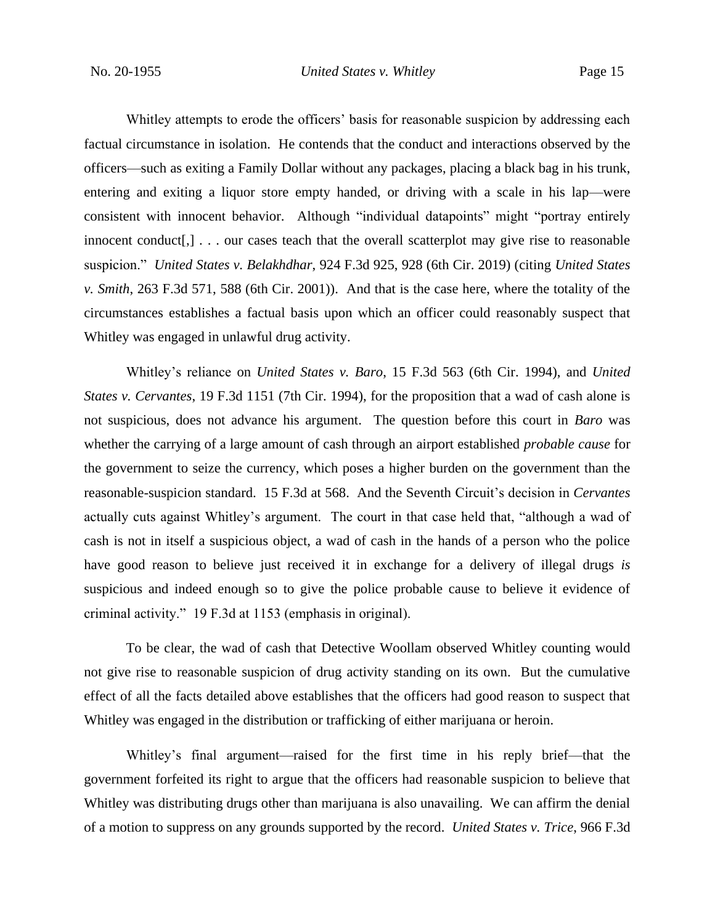Whitley attempts to erode the officers' basis for reasonable suspicion by addressing each factual circumstance in isolation. He contends that the conduct and interactions observed by the officers––such as exiting a Family Dollar without any packages, placing a black bag in his trunk, entering and exiting a liquor store empty handed, or driving with a scale in his lap—were consistent with innocent behavior.Although "individual datapoints" might "portray entirely innocent conduct[,]  $\ldots$  our cases teach that the overall scatterplot may give rise to reasonable suspicion." *United States v. Belakhdhar*, 924 F.3d 925, 928 (6th Cir. 2019) (citing *United States v. Smith*, 263 F.3d 571, 588 (6th Cir. 2001)). And that is the case here, where the totality of the circumstances establishes a factual basis upon which an officer could reasonably suspect that Whitley was engaged in unlawful drug activity.

Whitley's reliance on *United States v. Baro*, 15 F.3d 563 (6th Cir. 1994), and *United States v. Cervantes*, 19 F.3d 1151 (7th Cir. 1994), for the proposition that a wad of cash alone is not suspicious, does not advance his argument. The question before this court in *Baro* was whether the carrying of a large amount of cash through an airport established *probable cause* for the government to seize the currency, which poses a higher burden on the government than the reasonable-suspicion standard. 15 F.3d at 568. And the Seventh Circuit's decision in *Cervantes* actually cuts against Whitley's argument. The court in that case held that, "although a wad of cash is not in itself a suspicious object, a wad of cash in the hands of a person who the police have good reason to believe just received it in exchange for a delivery of illegal drugs *is* suspicious and indeed enough so to give the police probable cause to believe it evidence of criminal activity." 19 F.3d at 1153 (emphasis in original).

To be clear, the wad of cash that Detective Woollam observed Whitley counting would not give rise to reasonable suspicion of drug activity standing on its own. But the cumulative effect of all the facts detailed above establishes that the officers had good reason to suspect that Whitley was engaged in the distribution or trafficking of either marijuana or heroin.

Whitley's final argument––raised for the first time in his reply brief––that the government forfeited its right to argue that the officers had reasonable suspicion to believe that Whitley was distributing drugs other than marijuana is also unavailing. We can affirm the denial of a motion to suppress on any grounds supported by the record. *United States v. Trice*, 966 F.3d